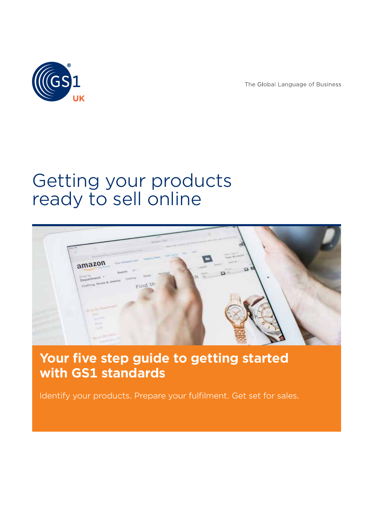

The Global Language of Business

# Getting your products ready to sell online



# **Your five step guide to getting started with GS1 standards**

Identify your products. Prepare your fulfilment. Get set for sales.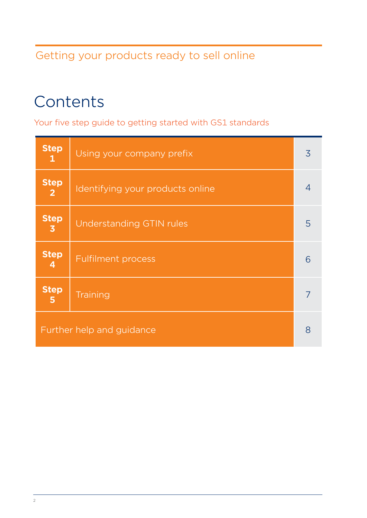# Getting your products ready to sell online

# **Contents**

Your five step guide to getting started with GS1 standards

| <b>Step</b><br>$\mathbf{1}$   | Using your company prefix        | 3              |
|-------------------------------|----------------------------------|----------------|
| <b>Step</b><br>$\mathbf{2}$   | Identifying your products online | $\overline{4}$ |
| <b>Step</b><br>$\overline{3}$ | <b>Understanding GTIN rules</b>  | 5              |
| <b>Step</b><br>4              | <b>Fulfilment process</b>        | 6              |
| <b>Step</b><br>5              | Training                         |                |
| Further help and guidance     |                                  |                |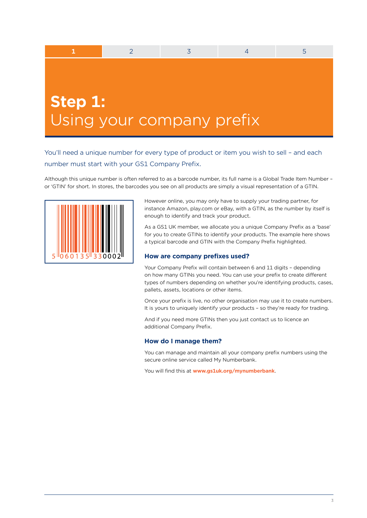# **Step 1:** Using your company prefix

You'll need a unique number for every type of product or item you wish to sell – and each number must start with your GS1 Company Prefix.

**1** 2 3 4 5

Although this unique number is often referred to as a barcode number, its full name is a Global Trade Item Number – or 'GTIN' for short. In stores, the barcodes you see on all products are simply a visual representation of a GTIN.



However online, you may only have to supply your trading partner, for instance Amazon, play.com or eBay, with a GTIN, as the number by itself is enough to identify and track your product.

As a GS1 UK member, we allocate you a unique Company Prefix as a 'base' for you to create GTINs to identify your products. The example here shows a typical barcode and GTIN with the Company Prefix highlighted.

### **How are company prefixes used?**

Your Company Prefix will contain between 6 and 11 digits - depending on how many GTINs you need. You can use your prefix to create different types of numbers depending on whether you're identifying products, cases, pallets, assets, locations or other items.

Once your prefix is live, no other organisation may use it to create numbers. It is yours to uniquely identify your products – so they're ready for trading.

And if you need more GTINs then you just contact us to licence an additional Company Prefix.

#### **How do I manage them?**

You can manage and maintain all your company prefix numbers using the secure online service called My Numberbank.

You will find this at **www.gs1uk.org/mynumberbank**.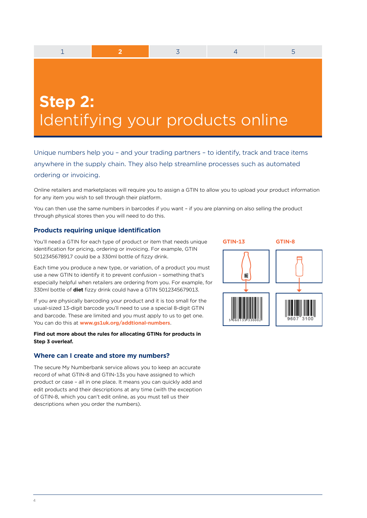**Step 2:** Identifying your products online

1 **2** 3 4 5

Unique numbers help you – and your trading partners – to identify, track and trace items anywhere in the supply chain. They also help streamline processes such as automated ordering or invoicing.

Online retailers and marketplaces will require you to assign a GTIN to allow you to upload your product information for any item you wish to sell through their platform.

You can then use the same numbers in barcodes if you want – if you are planning on also selling the product through physical stores then you will need to do this.

### **Products requiring unique identification**

You'll need a GTIN for each type of product or item that needs unique identification for pricing, ordering or invoicing. For example, GTIN 5012345678917 could be a 330ml bottle of fizzy drink.

Each time you produce a new type, or variation, of a product you must use a new GTIN to identify it to prevent confusion – something that's especially helpful when retailers are ordering from you. For example, for 330ml bottle of **diet** fizzy drink could have a GTIN 5012345679013.

If you are physically barcoding your product and it is too small for the usual-sized 13-digit barcode you'll need to use a special 8-digit GTIN and barcode. These are limited and you must apply to us to get one. You can do this at **www.gs1uk.org/addtional-numbers**.

#### **Find out more about the rules for allocating GTINs for products in Step 3 overleaf.**

### **Where can I create and store my numbers?**

The secure My Numberbank service allows you to keep an accurate record of what GTIN-8 and GTIN-13s you have assigned to which product or case – all in one place. It means you can quickly add and edit products and their descriptions at any time (with the exception of GTIN-8, which you can't edit online, as you must tell us their descriptions when you order the numbers).

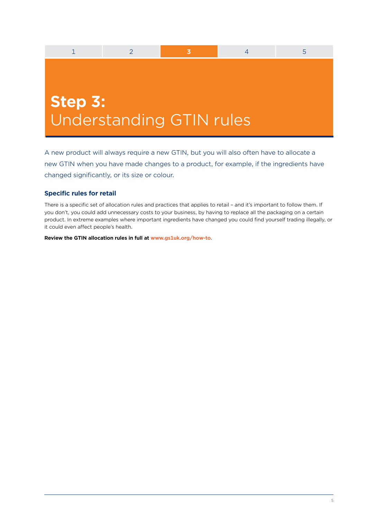# **Step 3:** Understanding GTIN rules

A new product will always require a new GTIN, but you will also often have to allocate a new GTIN when you have made changes to a product, for example, if the ingredients have changed significantly, or its size or colour.

1 2 **3** 4 5

# **Specific rules for retail**

There is a specific set of allocation rules and practices that applies to retail – and it's important to follow them. If you don't, you could add unnecessary costs to your business, by having to replace all the packaging on a certain product. In extreme examples where important ingredients have changed you could find yourself trading illegally, or it could even affect people's health.

**Review the GTIN allocation rules in full at www.gs1uk.org/how-to**.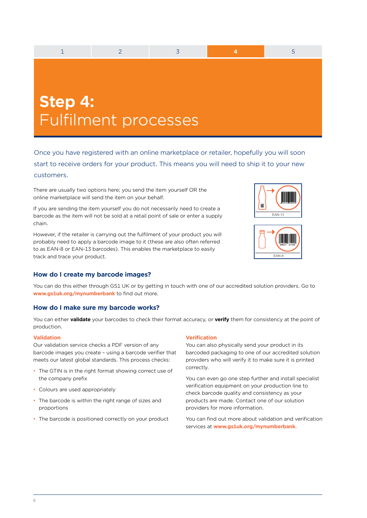| Step 4: |                      |  |  |
|---------|----------------------|--|--|
|         |                      |  |  |
|         | Fulfilment processes |  |  |
|         |                      |  |  |

Once you have registered with an online marketplace or retailer, hopefully you will soon start to receive orders for your product. This means you will need to ship it to your new customers.

There are usually two options here; you send the item yourself OR the online marketplace will send the item on your behalf.

If you are sending the item yourself you do not necessarily need to create a barcode as the item will not be sold at a retail point of sale or enter a supply chain.

However, if the retailer is carrying out the fulfilment of your product you will probably need to apply a barcode image to it (these are also often referred to as EAN-8 or EAN-13 barcodes). This enables the marketplace to easily track and trace your product.





# **How do I create my barcode images?**

You can do this either through GS1 UK or by getting in touch with one of our accredited solution providers. Go to **www.gs1uk.org/mynumberbank** to find out more.

### **How do I make sure my barcode works?**

You can either **validate** your barcodes to check their format accuracy, or **verify** them for consistency at the point of production.

#### **Validation**

Our validation service checks a PDF version of any barcode images you create – using a barcode verifier that meets our latest global standards. This process checks:

- The GTIN is in the right format showing correct use of the company prefix
- Colours are used appropriately
- The barcode is within the right range of sizes and proportions
- The barcode is positioned correctly on your product

#### **Verification**

You can also physically send your product in its barcoded packaging to one of our accredited solution providers who will verify it to make sure it is printed correctly.

You can even go one step further and install specialist verification equipment on your production line to check barcode quality and consistency as your products are made. Contact one of our solution providers for more information.

You can find out more about validation and verification services at **www.gs1uk.org/mynumberbank**.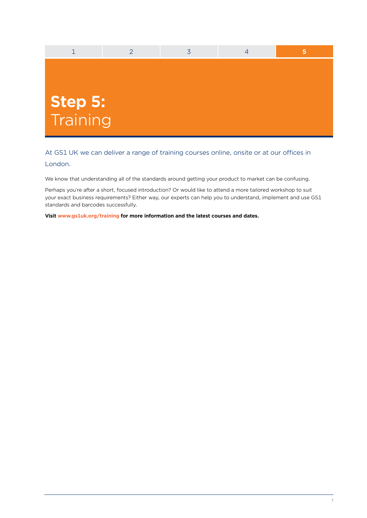

At GS1 UK we can deliver a range of training courses online, onsite or at our offices in London.

We know that understanding all of the standards around getting your product to market can be confusing.

Perhaps you're after a short, focused introduction? Or would like to attend a more tailored workshop to suit your exact business requirements? Either way, our experts can help you to understand, implement and use GS1 standards and barcodes successfully.

**Visit www.gs1uk.org/training for more information and the latest courses and dates.**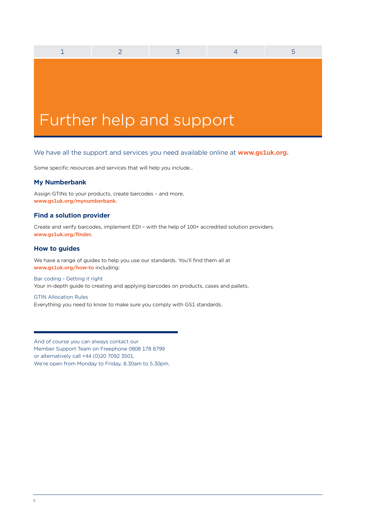# Further help and support

# We have all the support and services you need available online at **www.gs1uk.org.**

1 2 3 4 5

Some specific resources and services that will help you include…

# **My Numberbank**

Assign GTINs to your products, create barcodes – and more. **www.gs1uk.org/mynumberbank.**

# **Find a solution provider**

Create and verify barcodes, implement EDI – with the help of 100+ accredited solution providers. **www.gs1uk.org/finder.**

# **How to guides**

We have a range of guides to help you use our standards. You'll find them all at **www.gs1uk.org/how-to** including:

# Bar coding - Getting it right Your in-depth guide to creating and applying barcodes on products, cases and pallets.

#### GTIN Allocation Rules

Everything you need to know to make sure you comply with GS1 standards.

And of course you can always contact our Member Support Team on Freephone 0808 178 8799 or alternatively call +44 (0)20 7092 3501. We're open from Monday to Friday, 8.30am to 5.30pm.